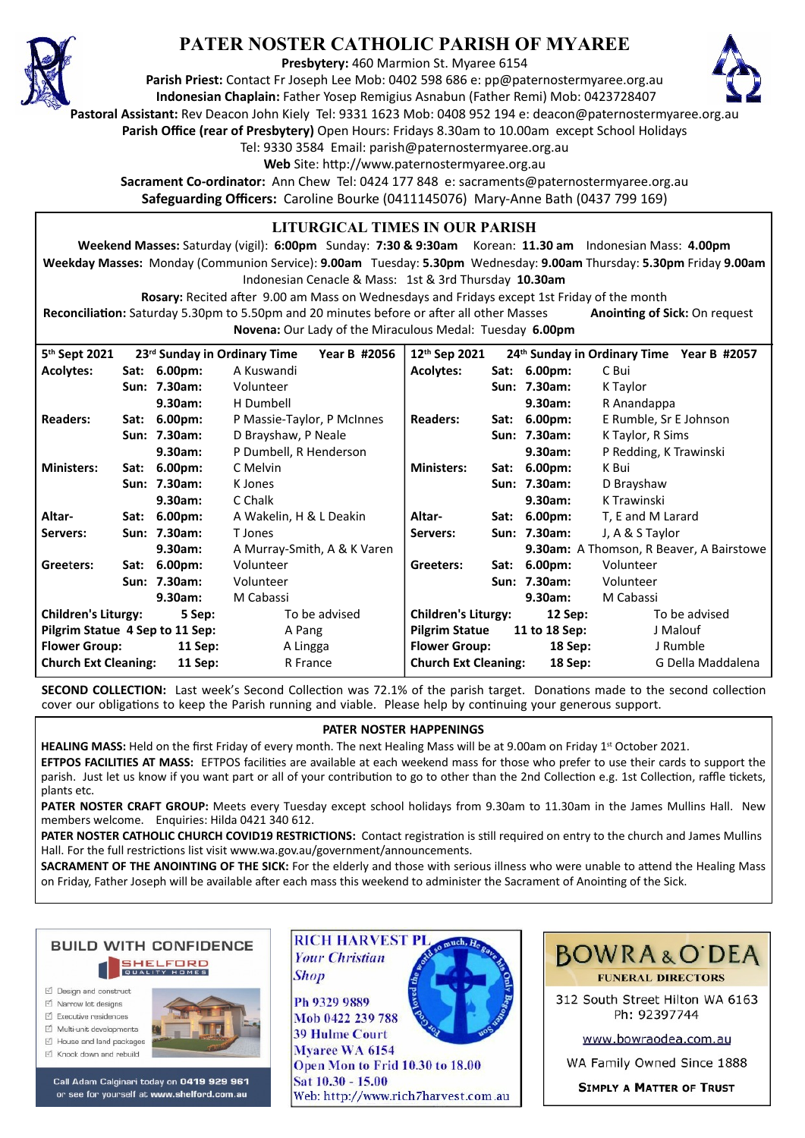

# **PATER NOSTER CATHOLIC PARISH OF MYAREE**

**Presbytery:** 460 Marmion St. Myaree 6154

**Parish Priest:** Contact Fr Joseph Lee Mob: 0402 598 686 e: pp@paternostermyaree.org.au **Indonesian Chaplain:** Father Yosep Remigius Asnabun (Father Remi) Mob: 0423728407



**Pastoral Assistant:** Rev Deacon John Kiely Tel: 9331 1623 Mob: 0408 952 194 e: deacon@paternostermyaree.org.au

**Parish Office (rear of Presbytery)** Open Hours: Fridays 8.30am to 10.00am except School Holidays

Tel: 9330 3584 Email: parish@paternostermyaree.org.au

Web Site: http://www.paternostermyaree.org.au

**Sacrament Co-ordinator:** Ann Chew Tel: 0424 177 848 e: sacraments@paternostermyaree.org.au **Safeguarding Officers:** Caroline Bourke (0411145076) Mary-Anne Bath (0437 799 169)

#### **LITURGICAL TIMES IN OUR PARISH**

**Weekend Masses:** Saturday (vigil): **6:00pm** Sunday: **7:30 & 9:30am** Korean: **11.30 am** Indonesian Mass: **4.00pm Weekday Masses:** Monday (Communion Service): **9.00am** Tuesday: **5.30pm** Wednesday: **9.00am** Thursday: **5.30pm** Friday **9.00am** Indonesian Cenacle & Mass: 1st & 3rd Thursday **10.30am**

**Rosary:** Recited a�er 9.00 am Mass on Wednesdays and Fridays except 1st Friday of the month Reconciliation: Saturday 5.30pm to 5.50pm and 20 minutes before or after all other Masses **Anointing of Sick:** On request **Novena:** Our Lady of the Miraculous Medal: Tuesday **6.00pm**

**12th Sep 2021 24th Sunday in Ordinary Time Year B #2057 Acolytes: Sat: 6.00pm:** C Bui **Sun: 7.30am:** K Taylor **9.30am:** R Anandappa **Readers: Sat: 6.00pm:** E Rumble, Sr E Johnson **Sun: 7.30am:** K Taylor, R Sims **9.30am:** P Redding, K Trawinski **Ministers: Sat: 6.00pm:** K Bui **Sun: 7.30am:** D Brayshaw **9.30am:** K Trawinski **Altar- Sat: 6.00pm:** T, E and M Larard **Servers: Sun: 7.30am:** J, A & S Taylor **9.30am:** A Thomson, R Beaver, A Bairstowe **Greeters: Sat: 6.00pm:** Volunteer **Sun: 7.30am:** Volunteer **9.30am:** M Cabassi **Children's Liturgy: 12 Sep:** To be advised **Pilgrim Statue 11 to 18 Sep:** J Malouf **Flower Group: 18 Sep:** J Rumble **Church Ext Cleaning: 18 Sep:** G Della Maddalena 5<sup>th</sup> Sept 2021 **th Sept 2021 23rd Sunday in Ordinary Time Year B #2056 Acolytes: Sat: 6.00pm:** A Kuswandi **Sun: 7.30am:** Volunteer **9.30am:** H Dumbell **Readers: Sat: 6.00pm:** P Massie-Taylor, P McInnes **Sun: 7.30am:** D Brayshaw, P Neale **9.30am:** P Dumbell, R Henderson **Ministers: Sat: 6.00pm:** C Melvin **Sun: 7.30am:** K Jones **9.30am:** C Chalk **Altar- Sat: 6.00pm:** A Wakelin, H & L Deakin Servers: Sun: 7.30am: T Jones **9.30am:** A Murray-Smith, A & K Varen **Gree**t**ers: Sat: 6.00pm:** Volunteer **Sun: 7.30am:** Volunteer **9.30am:** M Cabassi **Children's Liturgy: 5 Sep:** To be advised **Pilgrim Statue 4 Sep to 11 Sep:** A Pang Flower Group: 11 Sep: A Lingga **Church Ext Cleaning: 11 Sep:** R France

**SECOND COLLECTION:** Last week's Second Collection was 72.1% of the parish target. Donations made to the second collection cover our obligations to keep the Parish running and viable. Please help by continuing your generous support.

#### **PATER NOSTER HAPPENINGS**

**HEALING MASS:** Held on the first Friday of every month. The next Healing Mass will be at 9.00am on Friday 1<sup>st</sup> October 2021.

**EFTPOS FACILITIES AT MASS:** EFTPOS facilities are available at each weekend mass for those who prefer to use their cards to support the parish. Just let us know if you want part or all of your contribution to go to other than the 2nd Collection e.g. 1st Collection, raffle tickets, plants etc.

**PATER NOSTER CRAFT GROUP:** Meets every Tuesday except school holidays from 9.30am to 11.30am in the James Mullins Hall. New members welcome. Enquiries: Hilda 0421 340 612.

PATER NOSTER CATHOLIC CHURCH COVID19 RESTRICTIONS: Contact registration is still required on entry to the church and James Mullins Hall. For the full restrictions list visit www.wa.gov.au/government/announcements.

**SACRAMENT OF THE ANOINTING OF THE SICK:** For the elderly and those with serious illness who were unable to attend the Healing Mass on Friday, Father Joseph will be available after each mass this weekend to administer the Sacrament of Anointing of the Sick.



- □ Design and construct
- $\triangledown$  Narrow lot designe
- $\triangledown$  Executive residences
- $\overrightarrow{2}$  Multi-unit developments M House and land packages
- ☑ Knock down and rebuild



Call Adam Calginari today on 0419 929 961 or see for yourself at www.shelford.com.au



Ph 9329 9889 Mob 0422 239 788 **39 Hulme Court** Mvaree WA 6154 Open Mon to Frid 10.30 to 18.00 Sat 10.30 - 15.00 Web: http://www.rich7harvest.com.au

**Shop** 



312 South Street Hilton WA 6163 Ph: 92397744

www.bowraodea.com.au

WA Family Owned Since 1888

**SIMPLY A MATTER OF TRUST**